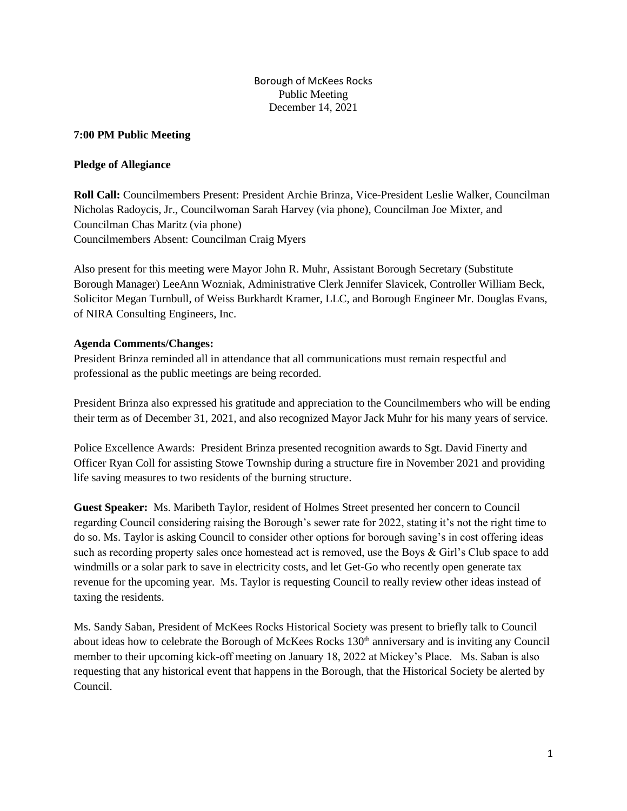# **7:00 PM Public Meeting**

# **Pledge of Allegiance**

**Roll Call:** Councilmembers Present: President Archie Brinza, Vice-President Leslie Walker, Councilman Nicholas Radoycis, Jr., Councilwoman Sarah Harvey (via phone), Councilman Joe Mixter, and Councilman Chas Maritz (via phone) Councilmembers Absent: Councilman Craig Myers

Also present for this meeting were Mayor John R. Muhr, Assistant Borough Secretary (Substitute Borough Manager) LeeAnn Wozniak, Administrative Clerk Jennifer Slavicek, Controller William Beck, Solicitor Megan Turnbull, of Weiss Burkhardt Kramer, LLC, and Borough Engineer Mr. Douglas Evans, of NIRA Consulting Engineers, Inc.

# **Agenda Comments/Changes:**

President Brinza reminded all in attendance that all communications must remain respectful and professional as the public meetings are being recorded.

President Brinza also expressed his gratitude and appreciation to the Councilmembers who will be ending their term as of December 31, 2021, and also recognized Mayor Jack Muhr for his many years of service.

Police Excellence Awards: President Brinza presented recognition awards to Sgt. David Finerty and Officer Ryan Coll for assisting Stowe Township during a structure fire in November 2021 and providing life saving measures to two residents of the burning structure.

**Guest Speaker:** Ms. Maribeth Taylor, resident of Holmes Street presented her concern to Council regarding Council considering raising the Borough's sewer rate for 2022, stating it's not the right time to do so. Ms. Taylor is asking Council to consider other options for borough saving's in cost offering ideas such as recording property sales once homestead act is removed, use the Boys & Girl's Club space to add windmills or a solar park to save in electricity costs, and let Get-Go who recently open generate tax revenue for the upcoming year. Ms. Taylor is requesting Council to really review other ideas instead of taxing the residents.

Ms. Sandy Saban, President of McKees Rocks Historical Society was present to briefly talk to Council about ideas how to celebrate the Borough of McKees Rocks 130<sup>th</sup> anniversary and is inviting any Council member to their upcoming kick-off meeting on January 18, 2022 at Mickey's Place. Ms. Saban is also requesting that any historical event that happens in the Borough, that the Historical Society be alerted by Council.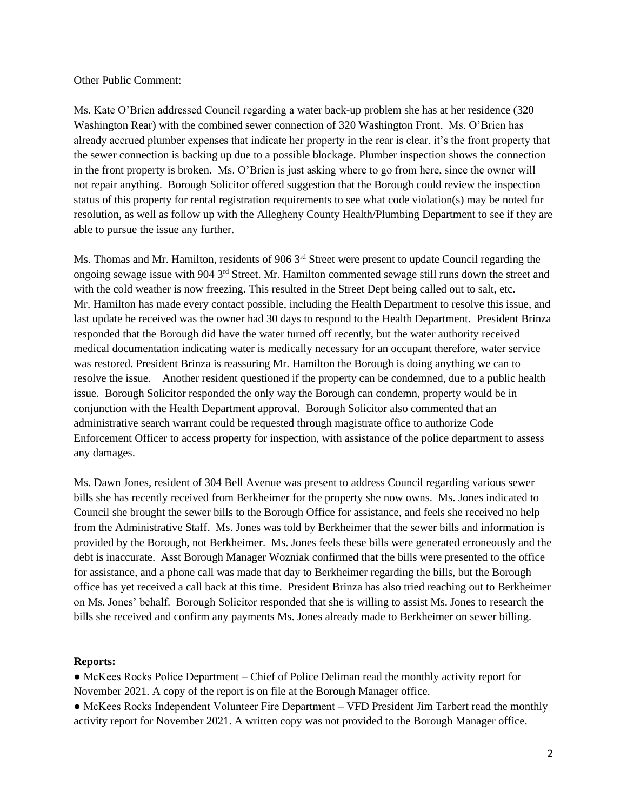#### Other Public Comment:

Ms. Kate O'Brien addressed Council regarding a water back-up problem she has at her residence (320 Washington Rear) with the combined sewer connection of 320 Washington Front. Ms. O'Brien has already accrued plumber expenses that indicate her property in the rear is clear, it's the front property that the sewer connection is backing up due to a possible blockage. Plumber inspection shows the connection in the front property is broken. Ms. O'Brien is just asking where to go from here, since the owner will not repair anything. Borough Solicitor offered suggestion that the Borough could review the inspection status of this property for rental registration requirements to see what code violation(s) may be noted for resolution, as well as follow up with the Allegheny County Health/Plumbing Department to see if they are able to pursue the issue any further.

Ms. Thomas and Mr. Hamilton, residents of 906 3<sup>rd</sup> Street were present to update Council regarding the ongoing sewage issue with 904 3rd Street. Mr. Hamilton commented sewage still runs down the street and with the cold weather is now freezing. This resulted in the Street Dept being called out to salt, etc. Mr. Hamilton has made every contact possible, including the Health Department to resolve this issue, and last update he received was the owner had 30 days to respond to the Health Department. President Brinza responded that the Borough did have the water turned off recently, but the water authority received medical documentation indicating water is medically necessary for an occupant therefore, water service was restored. President Brinza is reassuring Mr. Hamilton the Borough is doing anything we can to resolve the issue. Another resident questioned if the property can be condemned, due to a public health issue. Borough Solicitor responded the only way the Borough can condemn, property would be in conjunction with the Health Department approval. Borough Solicitor also commented that an administrative search warrant could be requested through magistrate office to authorize Code Enforcement Officer to access property for inspection, with assistance of the police department to assess any damages.

Ms. Dawn Jones, resident of 304 Bell Avenue was present to address Council regarding various sewer bills she has recently received from Berkheimer for the property she now owns. Ms. Jones indicated to Council she brought the sewer bills to the Borough Office for assistance, and feels she received no help from the Administrative Staff. Ms. Jones was told by Berkheimer that the sewer bills and information is provided by the Borough, not Berkheimer. Ms. Jones feels these bills were generated erroneously and the debt is inaccurate. Asst Borough Manager Wozniak confirmed that the bills were presented to the office for assistance, and a phone call was made that day to Berkheimer regarding the bills, but the Borough office has yet received a call back at this time. President Brinza has also tried reaching out to Berkheimer on Ms. Jones' behalf. Borough Solicitor responded that she is willing to assist Ms. Jones to research the bills she received and confirm any payments Ms. Jones already made to Berkheimer on sewer billing.

#### **Reports:**

• McKees Rocks Police Department – Chief of Police Deliman read the monthly activity report for November 2021. A copy of the report is on file at the Borough Manager office.

• McKees Rocks Independent Volunteer Fire Department – VFD President Jim Tarbert read the monthly activity report for November 2021. A written copy was not provided to the Borough Manager office.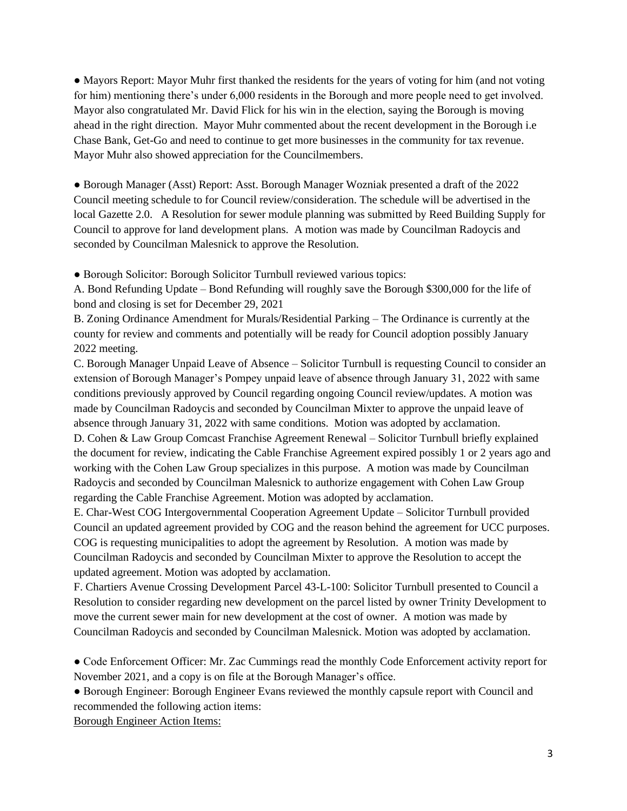• Mayors Report: Mayor Muhr first thanked the residents for the years of voting for him (and not voting for him) mentioning there's under 6,000 residents in the Borough and more people need to get involved. Mayor also congratulated Mr. David Flick for his win in the election, saying the Borough is moving ahead in the right direction. Mayor Muhr commented about the recent development in the Borough i.e Chase Bank, Get-Go and need to continue to get more businesses in the community for tax revenue. Mayor Muhr also showed appreciation for the Councilmembers.

● Borough Manager (Asst) Report: Asst. Borough Manager Wozniak presented a draft of the 2022 Council meeting schedule to for Council review/consideration. The schedule will be advertised in the local Gazette 2.0. A Resolution for sewer module planning was submitted by Reed Building Supply for Council to approve for land development plans. A motion was made by Councilman Radoycis and seconded by Councilman Malesnick to approve the Resolution.

● Borough Solicitor: Borough Solicitor Turnbull reviewed various topics:

A. Bond Refunding Update – Bond Refunding will roughly save the Borough \$300,000 for the life of bond and closing is set for December 29, 2021

B. Zoning Ordinance Amendment for Murals/Residential Parking – The Ordinance is currently at the county for review and comments and potentially will be ready for Council adoption possibly January 2022 meeting.

C. Borough Manager Unpaid Leave of Absence – Solicitor Turnbull is requesting Council to consider an extension of Borough Manager's Pompey unpaid leave of absence through January 31, 2022 with same conditions previously approved by Council regarding ongoing Council review/updates. A motion was made by Councilman Radoycis and seconded by Councilman Mixter to approve the unpaid leave of absence through January 31, 2022 with same conditions. Motion was adopted by acclamation. D. Cohen & Law Group Comcast Franchise Agreement Renewal – Solicitor Turnbull briefly explained the document for review, indicating the Cable Franchise Agreement expired possibly 1 or 2 years ago and working with the Cohen Law Group specializes in this purpose. A motion was made by Councilman Radoycis and seconded by Councilman Malesnick to authorize engagement with Cohen Law Group regarding the Cable Franchise Agreement. Motion was adopted by acclamation.

E. Char-West COG Intergovernmental Cooperation Agreement Update – Solicitor Turnbull provided Council an updated agreement provided by COG and the reason behind the agreement for UCC purposes. COG is requesting municipalities to adopt the agreement by Resolution. A motion was made by Councilman Radoycis and seconded by Councilman Mixter to approve the Resolution to accept the updated agreement. Motion was adopted by acclamation.

F. Chartiers Avenue Crossing Development Parcel 43-L-100: Solicitor Turnbull presented to Council a Resolution to consider regarding new development on the parcel listed by owner Trinity Development to move the current sewer main for new development at the cost of owner. A motion was made by Councilman Radoycis and seconded by Councilman Malesnick. Motion was adopted by acclamation.

● Code Enforcement Officer: Mr. Zac Cummings read the monthly Code Enforcement activity report for November 2021, and a copy is on file at the Borough Manager's office.

● Borough Engineer: Borough Engineer Evans reviewed the monthly capsule report with Council and recommended the following action items:

Borough Engineer Action Items: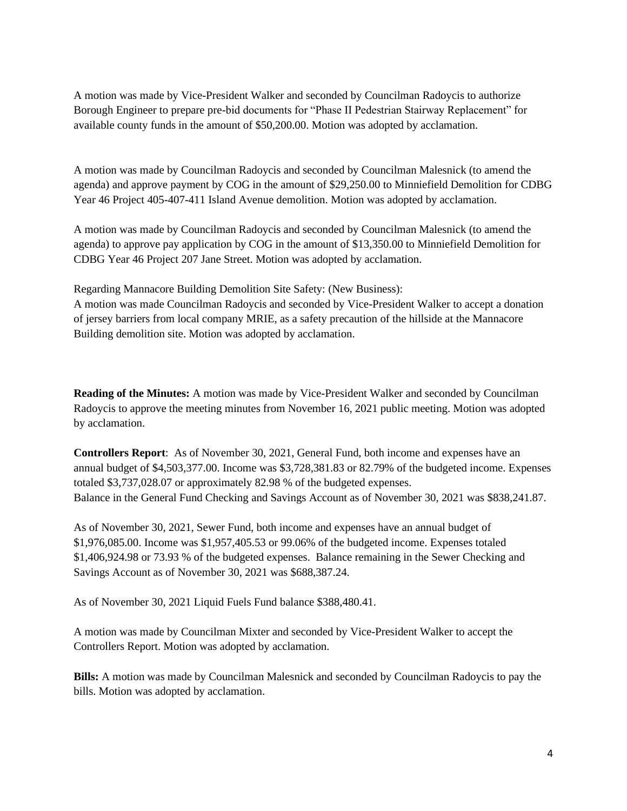A motion was made by Vice-President Walker and seconded by Councilman Radoycis to authorize Borough Engineer to prepare pre-bid documents for "Phase II Pedestrian Stairway Replacement" for available county funds in the amount of \$50,200.00. Motion was adopted by acclamation.

A motion was made by Councilman Radoycis and seconded by Councilman Malesnick (to amend the agenda) and approve payment by COG in the amount of \$29,250.00 to Minniefield Demolition for CDBG Year 46 Project 405-407-411 Island Avenue demolition. Motion was adopted by acclamation.

A motion was made by Councilman Radoycis and seconded by Councilman Malesnick (to amend the agenda) to approve pay application by COG in the amount of \$13,350.00 to Minniefield Demolition for CDBG Year 46 Project 207 Jane Street. Motion was adopted by acclamation.

Regarding Mannacore Building Demolition Site Safety: (New Business):

A motion was made Councilman Radoycis and seconded by Vice-President Walker to accept a donation of jersey barriers from local company MRIE, as a safety precaution of the hillside at the Mannacore Building demolition site. Motion was adopted by acclamation.

**Reading of the Minutes:** A motion was made by Vice-President Walker and seconded by Councilman Radoycis to approve the meeting minutes from November 16, 2021 public meeting. Motion was adopted by acclamation.

**Controllers Report**: As of November 30, 2021, General Fund, both income and expenses have an annual budget of \$4,503,377.00. Income was \$3,728,381.83 or 82.79% of the budgeted income. Expenses totaled \$3,737,028.07 or approximately 82.98 % of the budgeted expenses. Balance in the General Fund Checking and Savings Account as of November 30, 2021 was \$838,241.87.

As of November 30, 2021, Sewer Fund, both income and expenses have an annual budget of \$1,976,085.00. Income was \$1,957,405.53 or 99.06% of the budgeted income. Expenses totaled \$1,406,924.98 or 73.93 % of the budgeted expenses. Balance remaining in the Sewer Checking and Savings Account as of November 30, 2021 was \$688,387.24.

As of November 30, 2021 Liquid Fuels Fund balance \$388,480.41.

A motion was made by Councilman Mixter and seconded by Vice-President Walker to accept the Controllers Report. Motion was adopted by acclamation.

**Bills:** A motion was made by Councilman Malesnick and seconded by Councilman Radoycis to pay the bills. Motion was adopted by acclamation.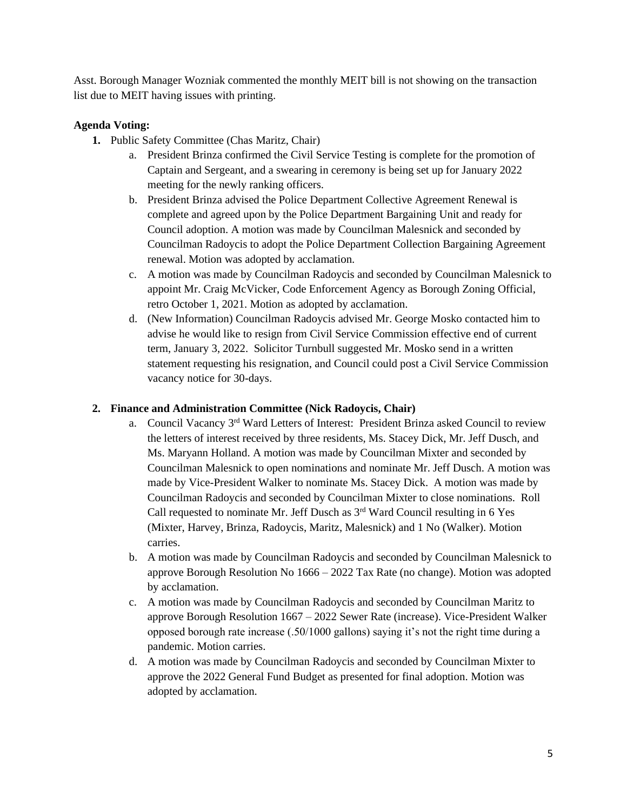Asst. Borough Manager Wozniak commented the monthly MEIT bill is not showing on the transaction list due to MEIT having issues with printing.

# **Agenda Voting:**

- **1.** Public Safety Committee (Chas Maritz, Chair)
	- a. President Brinza confirmed the Civil Service Testing is complete for the promotion of Captain and Sergeant, and a swearing in ceremony is being set up for January 2022 meeting for the newly ranking officers.
	- b. President Brinza advised the Police Department Collective Agreement Renewal is complete and agreed upon by the Police Department Bargaining Unit and ready for Council adoption. A motion was made by Councilman Malesnick and seconded by Councilman Radoycis to adopt the Police Department Collection Bargaining Agreement renewal. Motion was adopted by acclamation.
	- c. A motion was made by Councilman Radoycis and seconded by Councilman Malesnick to appoint Mr. Craig McVicker, Code Enforcement Agency as Borough Zoning Official, retro October 1, 2021. Motion as adopted by acclamation.
	- d. (New Information) Councilman Radoycis advised Mr. George Mosko contacted him to advise he would like to resign from Civil Service Commission effective end of current term, January 3, 2022. Solicitor Turnbull suggested Mr. Mosko send in a written statement requesting his resignation, and Council could post a Civil Service Commission vacancy notice for 30-days.

# **2. Finance and Administration Committee (Nick Radoycis, Chair)**

- a. Council Vacancy 3rd Ward Letters of Interest: President Brinza asked Council to review the letters of interest received by three residents, Ms. Stacey Dick, Mr. Jeff Dusch, and Ms. Maryann Holland. A motion was made by Councilman Mixter and seconded by Councilman Malesnick to open nominations and nominate Mr. Jeff Dusch. A motion was made by Vice-President Walker to nominate Ms. Stacey Dick. A motion was made by Councilman Radoycis and seconded by Councilman Mixter to close nominations. Roll Call requested to nominate Mr. Jeff Dusch as 3rd Ward Council resulting in 6 Yes (Mixter, Harvey, Brinza, Radoycis, Maritz, Malesnick) and 1 No (Walker). Motion carries.
- b. A motion was made by Councilman Radoycis and seconded by Councilman Malesnick to approve Borough Resolution No 1666 – 2022 Tax Rate (no change). Motion was adopted by acclamation.
- c. A motion was made by Councilman Radoycis and seconded by Councilman Maritz to approve Borough Resolution 1667 – 2022 Sewer Rate (increase). Vice-President Walker opposed borough rate increase (.50/1000 gallons) saying it's not the right time during a pandemic. Motion carries.
- d. A motion was made by Councilman Radoycis and seconded by Councilman Mixter to approve the 2022 General Fund Budget as presented for final adoption. Motion was adopted by acclamation.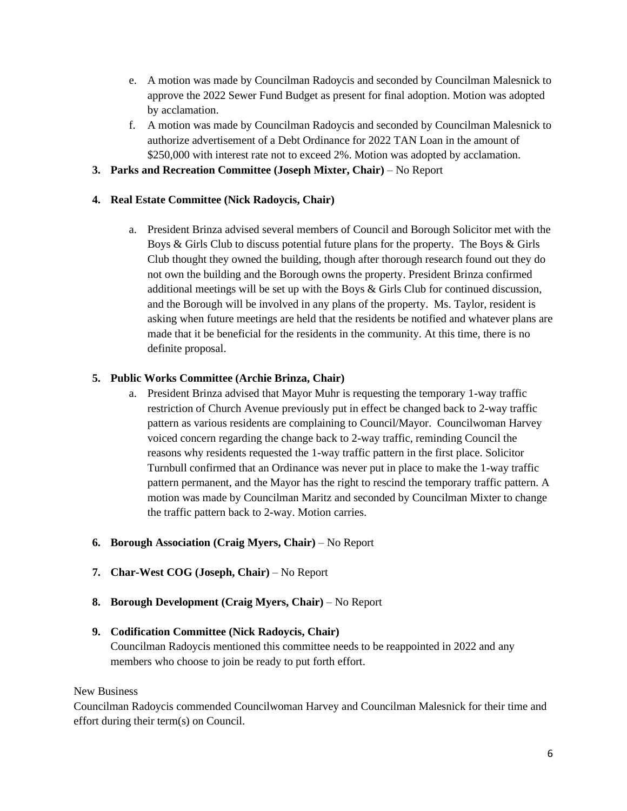- e. A motion was made by Councilman Radoycis and seconded by Councilman Malesnick to approve the 2022 Sewer Fund Budget as present for final adoption. Motion was adopted by acclamation.
- f. A motion was made by Councilman Radoycis and seconded by Councilman Malesnick to authorize advertisement of a Debt Ordinance for 2022 TAN Loan in the amount of \$250,000 with interest rate not to exceed 2%. Motion was adopted by acclamation.
- **3. Parks and Recreation Committee (Joseph Mixter, Chair)** No Report

# **4. Real Estate Committee (Nick Radoycis, Chair)**

a. President Brinza advised several members of Council and Borough Solicitor met with the Boys & Girls Club to discuss potential future plans for the property. The Boys & Girls Club thought they owned the building, though after thorough research found out they do not own the building and the Borough owns the property. President Brinza confirmed additional meetings will be set up with the Boys & Girls Club for continued discussion, and the Borough will be involved in any plans of the property. Ms. Taylor, resident is asking when future meetings are held that the residents be notified and whatever plans are made that it be beneficial for the residents in the community. At this time, there is no definite proposal.

# **5. Public Works Committee (Archie Brinza, Chair)**

- a. President Brinza advised that Mayor Muhr is requesting the temporary 1-way traffic restriction of Church Avenue previously put in effect be changed back to 2-way traffic pattern as various residents are complaining to Council/Mayor. Councilwoman Harvey voiced concern regarding the change back to 2-way traffic, reminding Council the reasons why residents requested the 1-way traffic pattern in the first place. Solicitor Turnbull confirmed that an Ordinance was never put in place to make the 1-way traffic pattern permanent, and the Mayor has the right to rescind the temporary traffic pattern. A motion was made by Councilman Maritz and seconded by Councilman Mixter to change the traffic pattern back to 2-way. Motion carries.
- **6. Borough Association (Craig Myers, Chair)** No Report
- **7. Char-West COG (Joseph, Chair)** No Report
- **8. Borough Development (Craig Myers, Chair)** No Report

### **9. Codification Committee (Nick Radoycis, Chair)**

Councilman Radoycis mentioned this committee needs to be reappointed in 2022 and any members who choose to join be ready to put forth effort.

### New Business

Councilman Radoycis commended Councilwoman Harvey and Councilman Malesnick for their time and effort during their term(s) on Council.